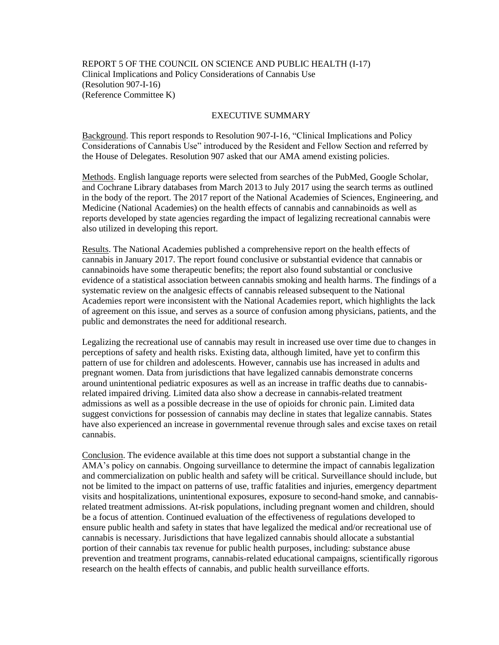REPORT 5 OF THE COUNCIL ON SCIENCE AND PUBLIC HEALTH (I-17) Clinical Implications and Policy Considerations of Cannabis Use (Resolution 907-I-16) (Reference Committee K)

#### EXECUTIVE SUMMARY

Background. This report responds to Resolution 907-I-16, "Clinical Implications and Policy Considerations of Cannabis Use" introduced by the Resident and Fellow Section and referred by the House of Delegates. Resolution 907 asked that our AMA amend existing policies.

Methods. English language reports were selected from searches of the PubMed, Google Scholar, and Cochrane Library databases from March 2013 to July 2017 using the search terms as outlined in the body of the report. The 2017 report of the National Academies of Sciences, Engineering, and Medicine (National Academies) on the health effects of cannabis and cannabinoids as well as reports developed by state agencies regarding the impact of legalizing recreational cannabis were also utilized in developing this report.

Results. The National Academies published a comprehensive report on the health effects of cannabis in January 2017. The report found conclusive or substantial evidence that cannabis or cannabinoids have some therapeutic benefits; the report also found substantial or conclusive evidence of a statistical association between cannabis smoking and health harms. The findings of a systematic review on the analgesic effects of cannabis released subsequent to the National Academies report were inconsistent with the National Academies report, which highlights the lack of agreement on this issue, and serves as a source of confusion among physicians, patients, and the public and demonstrates the need for additional research.

Legalizing the recreational use of cannabis may result in increased use over time due to changes in perceptions of safety and health risks. Existing data, although limited, have yet to confirm this pattern of use for children and adolescents. However, cannabis use has increased in adults and pregnant women. Data from jurisdictions that have legalized cannabis demonstrate concerns around unintentional pediatric exposures as well as an increase in traffic deaths due to cannabisrelated impaired driving. Limited data also show a decrease in cannabis-related treatment admissions as well as a possible decrease in the use of opioids for chronic pain. Limited data suggest convictions for possession of cannabis may decline in states that legalize cannabis. States have also experienced an increase in governmental revenue through sales and excise taxes on retail cannabis.

Conclusion. The evidence available at this time does not support a substantial change in the AMA's policy on cannabis. Ongoing surveillance to determine the impact of cannabis legalization and commercialization on public health and safety will be critical. Surveillance should include, but not be limited to the impact on patterns of use, traffic fatalities and injuries, emergency department visits and hospitalizations, unintentional exposures, exposure to second-hand smoke, and cannabisrelated treatment admissions. At-risk populations, including pregnant women and children, should be a focus of attention. Continued evaluation of the effectiveness of regulations developed to ensure public health and safety in states that have legalized the medical and/or recreational use of cannabis is necessary. Jurisdictions that have legalized cannabis should allocate a substantial portion of their cannabis tax revenue for public health purposes, including: substance abuse prevention and treatment programs, cannabis-related educational campaigns, scientifically rigorous research on the health effects of cannabis, and public health surveillance efforts.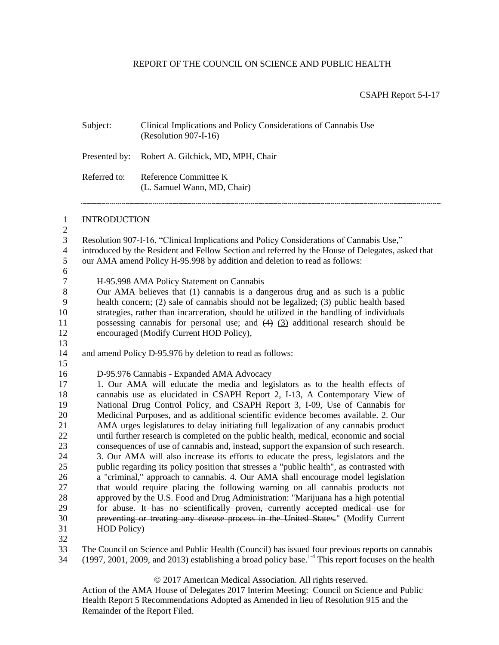## REPORT OF THE COUNCIL ON SCIENCE AND PUBLIC HEALTH

#### CSAPH Report 5-I-17

| Subject:            | Clinical Implications and Policy Considerations of Cannabis Use<br>(Resolution 907-I-16)                                                                                                                                                                                  |  |
|---------------------|---------------------------------------------------------------------------------------------------------------------------------------------------------------------------------------------------------------------------------------------------------------------------|--|
| Presented by:       | Robert A. Gilchick, MD, MPH, Chair                                                                                                                                                                                                                                        |  |
| Referred to:        | Reference Committee K<br>(L. Samuel Wann, MD, Chair)                                                                                                                                                                                                                      |  |
| <b>INTRODUCTION</b> |                                                                                                                                                                                                                                                                           |  |
|                     | Resolution 907-I-16, "Clinical Implications and Policy Considerations of Cannabis Use,"<br>introduced by the Resident and Fellow Section and referred by the House of Delegates, asked that<br>our AMA amend Policy H-95.998 by addition and deletion to read as follows: |  |
|                     |                                                                                                                                                                                                                                                                           |  |
|                     | H-95.998 AMA Policy Statement on Cannabis                                                                                                                                                                                                                                 |  |
|                     | Our AMA believes that (1) cannabis is a dangerous drug and as such is a public<br>health concern; (2) sale of cannabis should not be legalized; (3) public health based                                                                                                   |  |
|                     | strategies, rather than incarceration, should be utilized in the handling of individuals                                                                                                                                                                                  |  |
|                     | possessing cannabis for personal use; and $(4)$ $(3)$ additional research should be                                                                                                                                                                                       |  |
|                     | encouraged (Modify Current HOD Policy),                                                                                                                                                                                                                                   |  |
|                     |                                                                                                                                                                                                                                                                           |  |
|                     | and amend Policy D-95.976 by deletion to read as follows:                                                                                                                                                                                                                 |  |
|                     |                                                                                                                                                                                                                                                                           |  |
|                     | D-95.976 Cannabis - Expanded AMA Advocacy                                                                                                                                                                                                                                 |  |
|                     | 1. Our AMA will educate the media and legislators as to the health effects of                                                                                                                                                                                             |  |
|                     | cannabis use as elucidated in CSAPH Report 2, I-13, A Contemporary View of                                                                                                                                                                                                |  |
|                     | National Drug Control Policy, and CSAPH Report 3, I-09, Use of Cannabis for                                                                                                                                                                                               |  |
|                     | Medicinal Purposes, and as additional scientific evidence becomes available. 2. Our                                                                                                                                                                                       |  |
|                     | AMA urges legislatures to delay initiating full legalization of any cannabis product                                                                                                                                                                                      |  |
|                     | until further research is completed on the public health, medical, economic and social                                                                                                                                                                                    |  |
|                     | consequences of use of cannabis and, instead, support the expansion of such research.                                                                                                                                                                                     |  |
|                     | 3. Our AMA will also increase its efforts to educate the press, legislators and the                                                                                                                                                                                       |  |
|                     | public regarding its policy position that stresses a "public health", as contrasted with                                                                                                                                                                                  |  |
|                     | a "criminal," approach to cannabis. 4. Our AMA shall encourage model legislation                                                                                                                                                                                          |  |
|                     | that would require placing the following warning on all cannabis products not                                                                                                                                                                                             |  |
|                     | approved by the U.S. Food and Drug Administration: "Marijuana has a high potential                                                                                                                                                                                        |  |
|                     | for abuse. It has no scientifically proven, currently accepted medical use for                                                                                                                                                                                            |  |
|                     | preventing or treating any disease process in the United States." (Modify Current                                                                                                                                                                                         |  |
| HOD Policy)         |                                                                                                                                                                                                                                                                           |  |
|                     |                                                                                                                                                                                                                                                                           |  |
|                     | The Council on Science and Public Health (Council) has issued four previous reports on cannabis                                                                                                                                                                           |  |
|                     | $(1997, 2001, 2009,$ and $2013)$ establishing a broad policy base. <sup>1-4</sup> This report focuses on the health                                                                                                                                                       |  |

© 2017 American Medical Association. All rights reserved.

Action of the AMA House of Delegates 2017 Interim Meeting: Council on Science and Public Health Report 5 Recommendations Adopted as Amended in lieu of Resolution 915 and the Remainder of the Report Filed.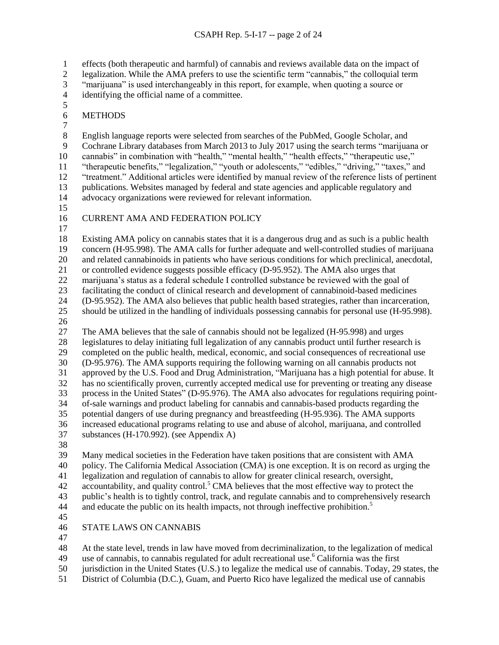effects (both therapeutic and harmful) of cannabis and reviews available data on the impact of

- legalization. While the AMA prefers to use the scientific term "cannabis," the colloquial term
- "marijuana" is used interchangeably in this report, for example, when quoting a source or
- identifying the official name of a committee.
- METHODS
- $\frac{7}{8}$

 English language reports were selected from searches of the PubMed, Google Scholar, and Cochrane Library databases from March 2013 to July 2017 using the search terms "marijuana or cannabis" in combination with "health," "mental health," "health effects," "therapeutic use," "therapeutic benefits," "legalization," "youth or adolescents," "edibles," "driving," "taxes," and "treatment." Additional articles were identified by manual review of the reference lists of pertinent publications. Websites managed by federal and state agencies and applicable regulatory and advocacy organizations were reviewed for relevant information.

- 
- CURRENT AMA AND FEDERATION POLICY
- 

 Existing AMA policy on cannabis states that it is a dangerous drug and as such is a public health concern (H-95.998). The AMA calls for further adequate and well-controlled studies of marijuana and related cannabinoids in patients who have serious conditions for which preclinical, anecdotal, or controlled evidence suggests possible efficacy (D-95.952). The AMA also urges that

marijuana's status as a federal schedule I controlled substance be reviewed with the goal of

facilitating the conduct of clinical research and development of cannabinoid-based medicines

 (D-95.952). The AMA also believes that public health based strategies, rather than incarceration, should be utilized in the handling of individuals possessing cannabis for personal use (H-95.998).

The AMA believes that the sale of cannabis should not be legalized (H-95.998) and urges

 legislatures to delay initiating full legalization of any cannabis product until further research is completed on the public health, medical, economic, and social consequences of recreational use (D-95.976). The AMA supports requiring the following warning on all cannabis products not approved by the U.S. Food and Drug Administration, "Marijuana has a high potential for abuse. It has no scientifically proven, currently accepted medical use for preventing or treating any disease process in the United States" (D-95.976). The AMA also advocates for regulations requiring point-of-sale warnings and product labeling for cannabis and cannabis-based products regarding the

- potential dangers of use during pregnancy and breastfeeding (H-95.936). The AMA supports
- increased educational programs relating to use and abuse of alcohol, marijuana, and controlled substances (H-170.992). (see Appendix A)
- 

Many medical societies in the Federation have taken positions that are consistent with AMA

policy. The California Medical Association (CMA) is one exception. It is on record as urging the

- legalization and regulation of cannabis to allow for greater clinical research, oversight,
- 42 accountability, and quality control.<sup>5</sup> CMA believes that the most effective way to protect the

 public's health is to tightly control, track, and regulate cannabis and to comprehensively research and educate the public on its health impacts, not through ineffective prohibition.<sup>5</sup> 

# STATE LAWS ON CANNABIS

At the state level, trends in law have moved from decriminalization, to the legalization of medical

- 49 use of cannabis, to cannabis regulated for adult recreational use.<sup>6</sup> California was the first
- jurisdiction in the United States (U.S.) to legalize the medical use of cannabis. Today, 29 states, the
- District of Columbia (D.C.), Guam, and Puerto Rico have legalized the medical use of cannabis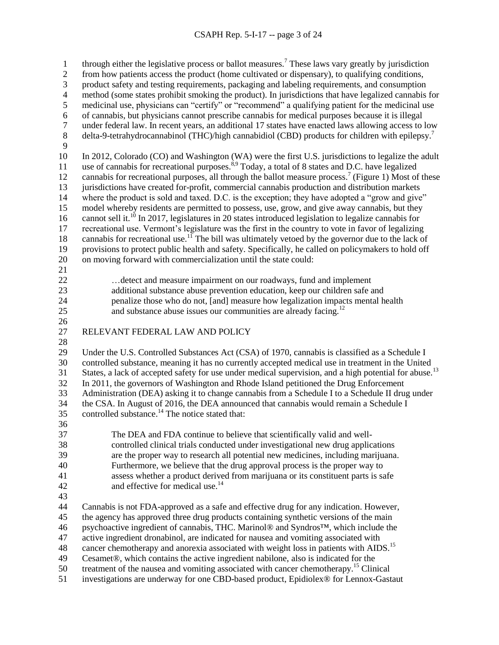## CSAPH Rep. 5-I-17 -- page 3 of 24

1 through either the legislative process or ballot measures.<sup>7</sup> These laws vary greatly by jurisdiction from how patients access the product (home cultivated or dispensary), to qualifying conditions, product safety and testing requirements, packaging and labeling requirements, and consumption method (some states prohibit smoking the product). In jurisdictions that have legalized cannabis for medicinal use, physicians can "certify" or "recommend" a qualifying patient for the medicinal use of cannabis, but physicians cannot prescribe cannabis for medical purposes because it is illegal under federal law. In recent years, an additional 17 states have enacted laws allowing access to low delta-9-tetrahydrocannabinol (THC)/high cannabidiol (CBD) products for children with epilepsy.<sup>7</sup> In 2012, Colorado (CO) and Washington (WA) were the first U.S. jurisdictions to legalize the adult 11 use of cannabis for recreational purposes.<sup>8,9</sup> Today, a total of 8 states and D.C. have legalized 12 cannabis for recreational purposes, all through the ballot measure process.<sup>7</sup> (Figure 1) Most of these jurisdictions have created for-profit, commercial cannabis production and distribution markets where the product is sold and taxed. D.C. is the exception; they have adopted a "grow and give" model whereby residents are permitted to possess, use, grow, and give away cannabis, but they 16 cannot sell it.<sup>10</sup> In 2017, legislatures in 20 states introduced legislation to legalize cannabis for recreational use. Vermont's legislature was the first in the country to vote in favor of legalizing 18 cannabis for recreational use.<sup>11</sup> The bill was ultimately vetoed by the governor due to the lack of provisions to protect public health and safety. Specifically, he called on policymakers to hold off on moving forward with commercialization until the state could: …detect and measure impairment on our roadways, fund and implement additional substance abuse prevention education, keep our children safe and penalize those who do not, [and] measure how legalization impacts mental health 25 and substance abuse issues our communities are already facing.<sup>12</sup> RELEVANT FEDERAL LAW AND POLICY Under the U.S. Controlled Substances Act (CSA) of 1970, cannabis is classified as a Schedule I controlled substance, meaning it has no currently accepted medical use in treatment in the United States, a lack of accepted safety for use under medical supervision, and a high potential for abuse.<sup>13</sup> In 2011, the governors of Washington and Rhode Island petitioned the Drug Enforcement Administration (DEA) asking it to change cannabis from a Schedule I to a Schedule II drug under the CSA. In August of 2016, the DEA announced that cannabis would remain a Schedule I 35 controlled substance.<sup>14</sup> The notice stated that: The DEA and FDA continue to believe that scientifically valid and well- controlled clinical trials conducted under investigational new drug applications are the proper way to research all potential new medicines, including marijuana. Furthermore, we believe that the drug approval process is the proper way to assess whether a product derived from marijuana or its constituent parts is safe 42 and effective for medical use.<sup>14</sup> Cannabis is not FDA-approved as a safe and effective drug for any indication. However, the agency has approved three drug products containing synthetic versions of the main psychoactive ingredient of cannabis, THC. Marinol® and Syndros™, which include the active ingredient dronabinol, are indicated for nausea and vomiting associated with 48 cancer chemotherapy and anorexia associated with weight loss in patients with AIDS.<sup>15</sup> Cesamet®, which contains the active ingredient nabilone, also is indicated for the 50 treatment of the nausea and vomiting associated with cancer chemotherapy.<sup>15</sup> Clinical investigations are underway for one CBD-based product, Epidiolex® for Lennox-Gastaut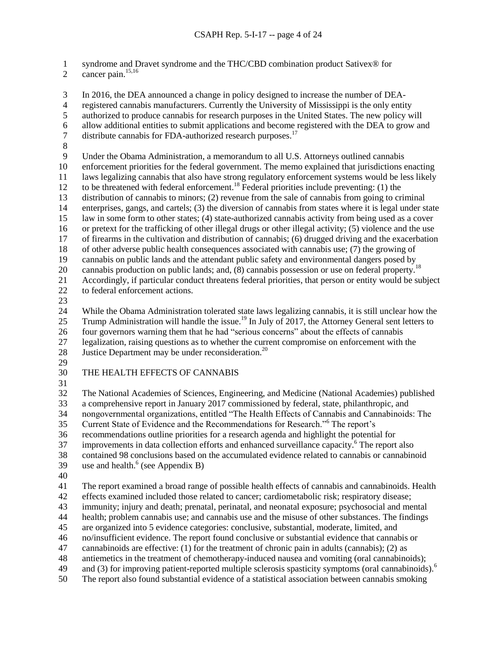syndrome and Dravet syndrome and the THC/CBD combination product Sativex® for

2 cancer pain. $15,16$ 

 In 2016, the DEA announced a change in policy designed to increase the number of DEA- registered cannabis manufacturers. Currently the University of Mississippi is the only entity authorized to produce cannabis for research purposes in the United States. The new policy will 6 allow additional entities to submit applications and become registered with the DEA to grow and distribute cannabis for FDA-authorized research purposes.<sup>17</sup> distribute cannabis for FDA-authorized research purposes. $^{17}$  Under the Obama Administration, a memorandum to all U.S. Attorneys outlined cannabis enforcement priorities for the federal government. The memo explained that jurisdictions enacting laws legalizing cannabis that also have strong regulatory enforcement systems would be less likely 12 to be threatened with federal enforcement.<sup>18</sup> Federal priorities include preventing: (1) the distribution of cannabis to minors; (2) revenue from the sale of cannabis from going to criminal enterprises, gangs, and cartels; (3) the diversion of cannabis from states where it is legal under state law in some form to other states; (4) state-authorized cannabis activity from being used as a cover or pretext for the trafficking of other illegal drugs or other illegal activity; (5) violence and the use of firearms in the cultivation and distribution of cannabis; (6) drugged driving and the exacerbation of other adverse public health consequences associated with cannabis use; (7) the growing of cannabis on public lands and the attendant public safety and environmental dangers posed by 20 cannabis production on public lands; and, (8) cannabis possession or use on federal property.<sup>18</sup> Accordingly, if particular conduct threatens federal priorities, that person or entity would be subject to federal enforcement actions. While the Obama Administration tolerated state laws legalizing cannabis, it is still unclear how the 25 Trump Administration will handle the issue.<sup>19</sup> In July of 2017, the Attorney General sent letters to four governors warning them that he had "serious concerns" about the effects of cannabis legalization, raising questions as to whether the current compromise on enforcement with the 28 Justice Department may be under reconsideration.<sup>20</sup> THE HEALTH EFFECTS OF CANNABIS The National Academies of Sciences, Engineering, and Medicine (National Academies) published a comprehensive report in January 2017 commissioned by federal, state, philanthropic, and nongovernmental organizations, entitled "The Health Effects of Cannabis and Cannabinoids: The 35 Current State of Evidence and the Recommendations for Research."<sup>6</sup> The report's recommendations outline priorities for a research agenda and highlight the potential for 37 improvements in data collection efforts and enhanced surveillance capacity.<sup>6</sup> The report also contained 98 conclusions based on the accumulated evidence related to cannabis or cannabinoid 39 use and health. $<sup>6</sup>$  (see Appendix B)</sup> The report examined a broad range of possible health effects of cannabis and cannabinoids. Health effects examined included those related to cancer; cardiometabolic risk; respiratory disease; immunity; injury and death; prenatal, perinatal, and neonatal exposure; psychosocial and mental health; problem cannabis use; and cannabis use and the misuse of other substances. The findings are organized into 5 evidence categories: conclusive, substantial, moderate, limited, and no/insufficient evidence. The report found conclusive or substantial evidence that cannabis or cannabinoids are effective: (1) for the treatment of chronic pain in adults (cannabis); (2) as antiemetics in the treatment of chemotherapy-induced nausea and vomiting (oral cannabinoids); and (3) for improving patient-reported multiple sclerosis spasticity symptoms (oral cannabinoids).<sup>6</sup> The report also found substantial evidence of a statistical association between cannabis smoking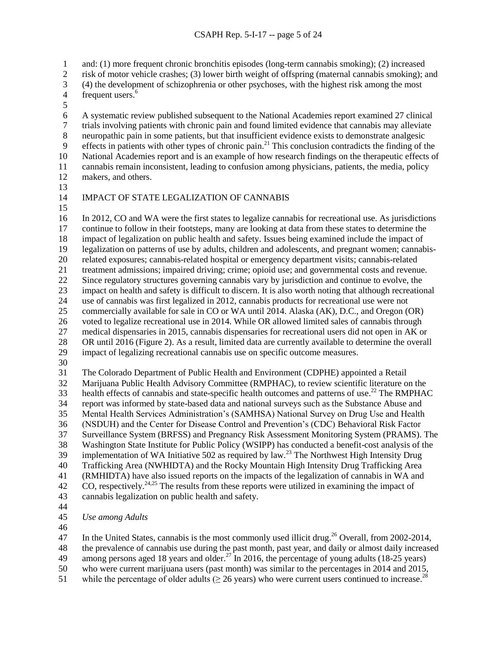and: (1) more frequent chronic bronchitis episodes (long-term cannabis smoking); (2) increased

- risk of motor vehicle crashes; (3) lower birth weight of offspring (maternal cannabis smoking); and
- (4) the development of schizophrenia or other psychoses, with the highest risk among the most
- frequent users.<sup>6</sup>
- 

 A systematic review published subsequent to the National Academies report examined 27 clinical 7 trials involving patients with chronic pain and found limited evidence that cannabis may alleviate<br>8 neuropathic pain in some patients, but that insufficient evidence exists to demonstrate analgesic neuropathic pain in some patients, but that insufficient evidence exists to demonstrate analgesic effects in patients with other types of chronic pain.<sup>21</sup> This conclusion contradicts the finding of the National Academies report and is an example of how research findings on the therapeutic effects of cannabis remain inconsistent, leading to confusion among physicians, patients, the media, policy makers, and others.

## IMPACT OF STATE LEGALIZATION OF CANNABIS

 In 2012, CO and WA were the first states to legalize cannabis for recreational use. As jurisdictions continue to follow in their footsteps, many are looking at data from these states to determine the impact of legalization on public health and safety. Issues being examined include the impact of legalization on patterns of use by adults, children and adolescents, and pregnant women; cannabis- related exposures; cannabis-related hospital or emergency department visits; cannabis-related treatment admissions; impaired driving; crime; opioid use; and governmental costs and revenue. Since regulatory structures governing cannabis vary by jurisdiction and continue to evolve, the impact on health and safety is difficult to discern. It is also worth noting that although recreational use of cannabis was first legalized in 2012, cannabis products for recreational use were not commercially available for sale in CO or WA until 2014. Alaska (AK), D.C., and Oregon (OR) voted to legalize recreational use in 2014. While OR allowed limited sales of cannabis through medical dispensaries in 2015, cannabis dispensaries for recreational users did not open in AK or OR until 2016 (Figure 2). As a result, limited data are currently available to determine the overall impact of legalizing recreational cannabis use on specific outcome measures. The Colorado Department of Public Health and Environment (CDPHE) appointed a Retail

 Marijuana Public Health Advisory Committee (RMPHAC), to review scientific literature on the 33 health effects of cannabis and state-specific health outcomes and patterns of use.<sup>22</sup> The RMPHAC report was informed by state-based data and national surveys such as the Substance Abuse and Mental Health Services Administration's (SAMHSA) National Survey on Drug Use and Health (NSDUH) and the Center for Disease Control and Prevention's (CDC) Behavioral Risk Factor Surveillance System (BRFSS) and Pregnancy Risk Assessment Monitoring System (PRAMS). The Washington State Institute for Public Policy (WSIPP) has conducted a benefit-cost analysis of the 39 implementation of WA Initiative 502 as required by law.<sup>23</sup> The Northwest High Intensity Drug Trafficking Area (NWHIDTA) and the Rocky Mountain High Intensity Drug Trafficking Area (RMHIDTA) have also issued reports on the impacts of the legalization of cannabis in WA and 42 CO, respectively.  $24.25$  The results from these reports were utilized in examining the impact of cannabis legalization on public health and safety.

- 
- *Use among Adults*
- 

47 In the United States, cannabis is the most commonly used illicit drug.<sup>26</sup> Overall, from 2002-2014,

the prevalence of cannabis use during the past month, past year, and daily or almost daily increased

- 49 among persons aged 18 years and older.<sup>27</sup> In 2016, the percentage of young adults (18-25 years)
- who were current marijuana users (past month) was similar to the percentages in 2014 and 2015, 51 while the percentage of older adults ( $\geq$  26 years) who were current users continued to increase.<sup>28</sup>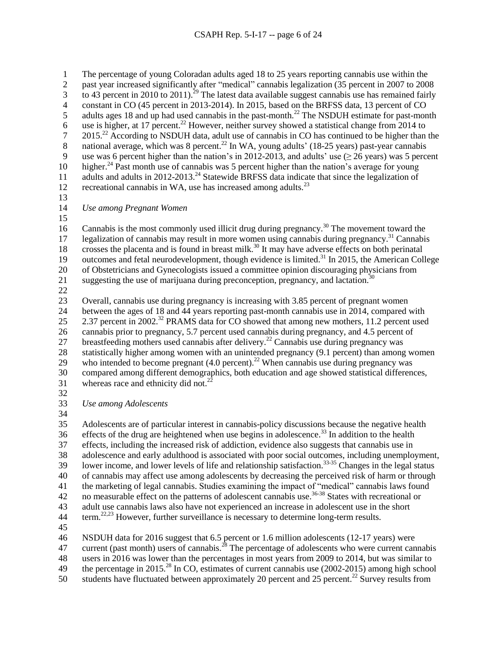1 The percentage of young Coloradan adults aged 18 to 25 years reporting cannabis use within the 2 past year increased significantly after "medical" cannabis legalization (35 percent in 2007 to 2008  $\frac{1}{100}$  to 43 percent in 2010 to 2011).<sup>29</sup> The latest data available suggest cannabis use has remained fairly 4 constant in CO (45 percent in 2013-2014). In 2015, based on the BRFSS data, 13 percent of CO 5 adults ages 18 and up had used cannabis in the past-month.<sup>22</sup> The NSDUH estimate for past-month 6 use is higher, at 17 percent.<sup>22</sup> However, neither survey showed a statistical change from 2014 to 2015.<sup>22</sup> According to NSDUH data, adult use of cannabis in CO has continued to be higher than the national average, which was 8 percent.<sup>22</sup> In WA, young adults' (18-25 years) past-year cannabis 8 national average, which was 8 percent.<sup>22</sup> In WA, young adults' (18-25 years) past-year cannabis 9 use was 6 percent higher than the nation's in 2012-2013, and adults' use  $(≥ 26$  years) was 5 percent 10 higher.<sup>24</sup> Past month use of cannabis was 5 percent higher than the nation's average for young 11 adults and adults in 2012-2013.<sup>24</sup> Statewide BRFSS data indicate that since the legalization of 12 recreational cannabis in WA, use has increased among adults. $^{23}$ 13 14 *Use among Pregnant Women* 15 16 Cannabis is the most commonly used illicit drug during pregnancy.<sup>30</sup> The movement toward the 17 legalization of cannabis may result in more women using cannabis during pregnancy.<sup>31</sup> Cannabis 18 crosses the placenta and is found in breast milk.<sup>30</sup> It may have adverse effects on both perinatal 19 outcomes and fetal neurodevelopment, though evidence is limited.<sup>31</sup> In 2015, the American College 20 of Obstetricians and Gynecologists issued a committee opinion discouraging physicians from 21 suggesting the use of marijuana during preconception, pregnancy, and lactation.<sup>30</sup> 22 23 Overall, cannabis use during pregnancy is increasing with 3.85 percent of pregnant women 24 between the ages of 18 and 44 years reporting past-month cannabis use in 2014, compared with 2.37 percent in 2002<sup>32</sup> PRAMS data for CO showed that among new mothers, 11.2 percent used 26 cannabis prior to pregnancy, 5.7 percent used cannabis during pregnancy, and 4.5 percent of 27 breastfeeding mothers used cannabis after delivery.<sup>22</sup> Cannabis use during pregnancy was 28 statistically higher among women with an unintended pregnancy (9.1 percent) than among women 29 who intended to become pregnant  $(4.0 \text{ percent})$ .<sup>22</sup> When cannabis use during pregnancy was 30 compared among different demographics, both education and age showed statistical differences, 31 whereas race and ethnicity did not.<sup>22</sup>

32

33 *Use among Adolescents*

34

 Adolescents are of particular interest in cannabis-policy discussions because the negative health  $\frac{1}{26}$  effects of the drug are heightened when use begins in adolescence.<sup>33</sup> In addition to the health effects, including the increased risk of addiction, evidence also suggests that cannabis use in adolescence and early adulthood is associated with poor social outcomes, including unemployment, 39 Iower income, and lower levels of life and relationship satisfaction.<sup>33-35</sup> Changes in the legal status of cannabis may affect use among adolescents by decreasing the perceived risk of harm or through the marketing of legal cannabis. Studies examining the impact of "medical" cannabis laws found 42 no measurable effect on the patterns of adolescent cannabis use.<sup>36-38</sup> States with recreational or adult use cannabis laws also have not experienced an increase in adolescent use in the short term.<sup>22,23</sup> However, further surveillance is necessary to determine long-term results. 45

46 NSDUH data for 2016 suggest that 6.5 percent or 1.6 million adolescents (12-17 years) were

47 current (past month) users of cannabis.<sup>28</sup> The percentage of adolescents who were current cannabis

48 users in 2016 was lower than the percentages in most years from 2009 to 2014, but was similar to

49 the percentage in 2015.<sup>28</sup> In CO, estimates of current cannabis use (2002-2015) among high school

50 students have fluctuated between approximately 20 percent and 25 percent.<sup>22</sup> Survey results from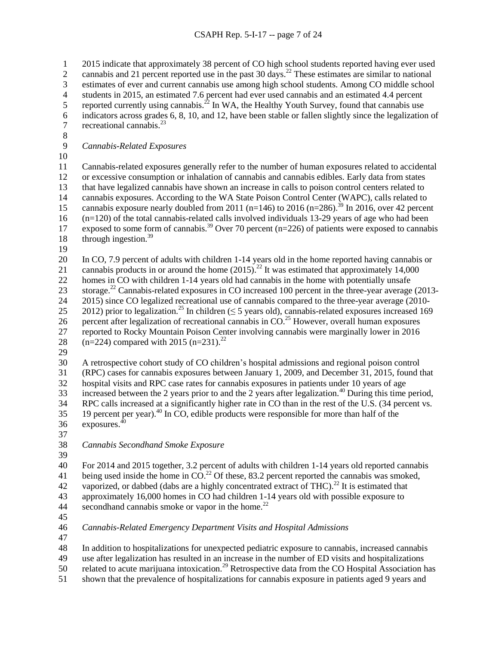2015 indicate that approximately 38 percent of CO high school students reported having ever used cannabis and 21 percent reported use in the past 30 days.<sup>22</sup> These estimates are similar to national estimates of ever and current cannabis use among high school students. Among CO middle school students in 2015, an estimated 7.6 percent had ever used cannabis and an estimated 4.4 percent 5 reported currently using cannabis.<sup>22</sup> In WA, the Healthy Youth Survey, found that cannabis use indicators across grades 6, 8, 10, and 12, have been stable or fallen slightly since the legalization of 7 recreational cannabis. $^{23}$ 8<br>9 *Cannabis-Related Exposures* Cannabis-related exposures generally refer to the number of human exposures related to accidental or excessive consumption or inhalation of cannabis and cannabis edibles. Early data from states that have legalized cannabis have shown an increase in calls to poison control centers related to cannabis exposures. According to the WA State Poison Control Center (WAPC), calls related to 15 cannabis exposure nearly doubled from 2011 (n=146) to 2016 (n=286).<sup>39</sup> In 2016, over 42 percent (n=120) of the total cannabis-related calls involved individuals 13-29 years of age who had been 17 exposed to some form of cannabis.<sup>39</sup> Over 70 percent (n=226) of patients were exposed to cannabis 18 through ingestion.<sup>39</sup> In CO, 7.9 percent of adults with children 1-14 years old in the home reported having cannabis or 21 cannabis products in or around the home  $(2015)^{22}$  It was estimated that approximately 14,000 homes in CO with children 1-14 years old had cannabis in the home with potentially unsafe 23 storage.<sup>22</sup> Cannabis-related exposures in CO increased 100 percent in the three-year average (2013- 2015) since CO legalized recreational use of cannabis compared to the three-year average (2010- 25 2012) prior to legalization.<sup>25</sup> In children ( $\leq$  5 years old), cannabis-related exposures increased 169 26 percent after legalization of recreational cannabis in  $CO.<sup>25</sup>$  However, overall human exposures reported to Rocky Mountain Poison Center involving cannabis were marginally lower in 2016

- 28 (n=224) compared with 2015 (n=231).<sup>22</sup>
- 

 A retrospective cohort study of CO children's hospital admissions and regional poison control (RPC) cases for cannabis exposures between January 1, 2009, and December 31, 2015, found that hospital visits and RPC case rates for cannabis exposures in patients under 10 years of age  $\overline{33}$  increased between the 2 years prior to and the 2 years after legalization.<sup>40</sup> During this time period, RPC calls increased at a significantly higher rate in CO than in the rest of the U.S. (34 percent vs.

19 percent per year).<sup>40</sup> In CO, edible products were responsible for more than half of the 36 exposures.

*Cannabis Secondhand Smoke Exposure*

 For 2014 and 2015 together, 3.2 percent of adults with children 1-14 years old reported cannabis 41 being used inside the home in  $CO<sup>22</sup>$  Of these, 83.2 percent reported the cannabis was smoked, 42 vaporized, or dabbed (dabs are a highly concentrated extract of THC).<sup>22</sup> It is estimated that approximately 16,000 homes in CO had children 1-14 years old with possible exposure to 44 secondhand cannabis smoke or vapor in the home.<sup>22</sup>

*Cannabis-Related Emergency Department Visits and Hospital Admissions*

In addition to hospitalizations for unexpected pediatric exposure to cannabis, increased cannabis

use after legalization has resulted in an increase in the number of ED visits and hospitalizations

50 related to acute marijuana intoxication.<sup>29</sup> Retrospective data from the CO Hospital Association has

shown that the prevalence of hospitalizations for cannabis exposure in patients aged 9 years and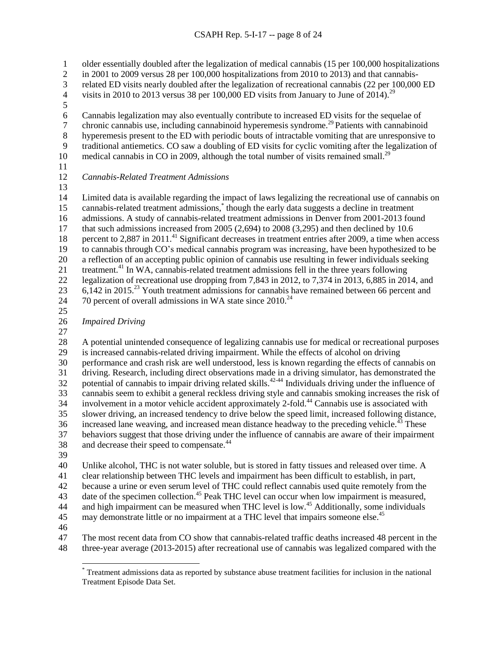older essentially doubled after the legalization of medical cannabis (15 per 100,000 hospitalizations

in 2001 to 2009 versus 28 per 100,000 hospitalizations from 2010 to 2013) and that cannabis-

related ED visits nearly doubled after the legalization of recreational cannabis (22 per 100,000 ED

4 visits in 2010 to 2013 versus 38 per 100,000 ED visits from January to June of 2014).<sup>29</sup>

Cannabis legalization may also eventually contribute to increased ED visits for the sequelae of

chronic cannabis use, including cannabinoid hyperemesis syndrome.<sup>29</sup> Patients with cannabinoid<br>8 hyperemesis present to the ED with periodic bouts of intractable vomiting that are unresponsive t hyperemesis present to the ED with periodic bouts of intractable vomiting that are unresponsive to

traditional antiemetics. CO saw a doubling of ED visits for cyclic vomiting after the legalization of

10 medical cannabis in CO in 2009, although the total number of visits remained small.<sup>29</sup>

*Cannabis-Related Treatment Admissions*

 Limited data is available regarding the impact of laws legalizing the recreational use of cannabis on 15 cannabis-related treatment admissions,<sup>\*</sup> though the early data suggests a decline in treatment admissions. A study of cannabis-related treatment admissions in Denver from 2001-2013 found that such admissions increased from 2005 (2,694) to 2008 (3,295) and then declined by 10.6 18 percent to 2,887 in 2011.<sup>41</sup> Significant decreases in treatment entries after 2009, a time when access to cannabis through CO's medical cannabis program was increasing, have been hypothesized to be a reflection of an accepting public opinion of cannabis use resulting in fewer individuals seeking 21 treatment.<sup>41</sup> In WA, cannabis-related treatment admissions fell in the three years following legalization of recreational use dropping from 7,843 in 2012, to 7,374 in 2013, 6,885 in 2014, and 23 6,142 in 2015<sup>23</sup> Youth treatment admissions for cannabis have remained between 66 percent and  $\%$  70 percent of overall admissions in WA state since 2010.<sup>24</sup>

# *Impaired Driving*

 A potential unintended consequence of legalizing cannabis use for medical or recreational purposes is increased cannabis-related driving impairment. While the effects of alcohol on driving performance and crash risk are well understood, less is known regarding the effects of cannabis on driving. Research, including direct observations made in a driving simulator, has demonstrated the potential of cannabis to impair driving related skills.<sup>42-44</sup> Individuals driving under the influence of cannabis seem to exhibit a general reckless driving style and cannabis smoking increases the risk of 34 involvement in a motor vehicle accident approximately 2-fold.<sup>44</sup> Cannabis use is associated with slower driving, an increased tendency to drive below the speed limit, increased following distance, 36 increased lane weaving, and increased mean distance headway to the preceding vehicle.<sup>43</sup> These behaviors suggest that those driving under the influence of cannabis are aware of their impairment 38 and decrease their speed to compensate.<sup>44</sup>

Unlike alcohol, THC is not water soluble, but is stored in fatty tissues and released over time. A

clear relationship between THC levels and impairment has been difficult to establish, in part,

because a urine or even serum level of THC could reflect cannabis used quite remotely from the

43 date of the specimen collection.<sup>45</sup> Peak THC level can occur when low impairment is measured, 44 and high impairment can be measured when THC level is low.<sup>45</sup> Additionally, some individuals

45 may demonstrate little or no impairment at a THC level that impairs someone else.<sup>45</sup>

 The most recent data from CO show that cannabis-related traffic deaths increased 48 percent in the three-year average (2013-2015) after recreational use of cannabis was legalized compared with the

<sup>\*</sup> Treatment admissions data as reported by substance abuse treatment facilities for inclusion in the national Treatment Episode Data Set.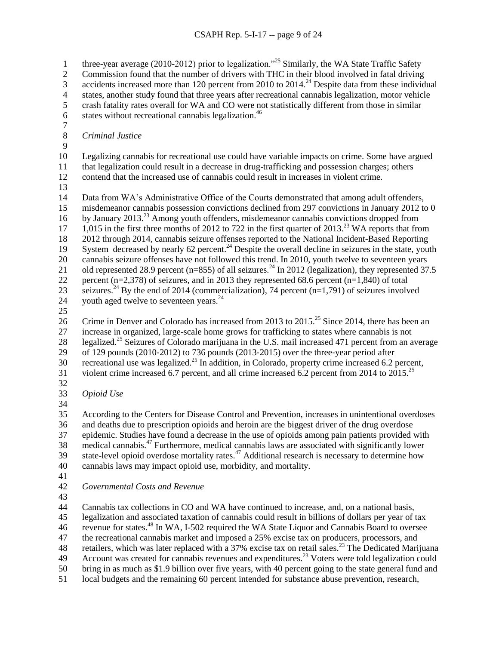three-year average (2010-2012) prior to legalization.<sup> $25$ </sup> Similarly, the WA State Traffic Safety

Commission found that the number of drivers with THC in their blood involved in fatal driving

3 accidents increased more than 120 percent from 2010 to  $2014.<sup>24</sup>$  Despite data from these individual

- 4 states, another study found that three years after recreational cannabis legalization, motor vehicle<br>5 crash fatality rates overall for WA and CO were not statistically different from those in similar
- crash fatality rates overall for WA and CO were not statistically different from those in similar
- 6 states without recreational cannabis legalization.
- $\begin{array}{c} 7 \\ 8 \end{array}$ 
	- *Criminal Justice*
- 

 Legalizing cannabis for recreational use could have variable impacts on crime. Some have argued that legalization could result in a decrease in drug-trafficking and possession charges; others

contend that the increased use of cannabis could result in increases in violent crime.

 Data from WA's Administrative Office of the Courts demonstrated that among adult offenders, misdemeanor cannabis possession convictions declined from 297 convictions in January 2012 to 0 16 by January 2013.<sup>23</sup> Among youth offenders, misdemeanor cannabis convictions dropped from 17 1,015 in the first three months of 2012 to 722 in the first quarter of  $2013.<sup>23</sup>$  WA reports that from 2012 through 2014, cannabis seizure offenses reported to the National Incident-Based Reporting 19 System decreased by nearly 62 percent.<sup>24</sup> Despite the overall decline in seizures in the state, youth cannabis seizure offenses have not followed this trend. In 2010, youth twelve to seventeen years 21 old represented 28.9 percent (n=855) of all seizures.<sup>24</sup> In 2012 (legalization), they represented 37.5 percent (n=2,378) of seizures, and in 2013 they represented 68.6 percent (n=1,840) of total 23 seizures.<sup>24</sup> By the end of 2014 (commercialization), 74 percent (n=1,791) of seizures involved 24 youth aged twelve to seventeen years. $^{24}$ 

26 Crime in Denver and Colorado has increased from 2013 to 2015.<sup>25</sup> Since 2014, there has been an increase in organized, large-scale home grows for trafficking to states where cannabis is not

28 legalized.<sup>25</sup> Seizures of Colorado marijuana in the U.S. mail increased 471 percent from an average of 129 pounds (2010‐2012) to 736 pounds (2013‐2015) over the three‐year period after

30 recreational use was legalized.<sup>25</sup> In addition, in Colorado, property crime increased 6.2 percent,

31 violent crime increased 6.7 percent, and all crime increased 6.2 percent from 2014 to  $2015.^{25}$ 

- 
- *Opioid Use*

 According to the Centers for Disease Control and Prevention, increases in unintentional overdoses and deaths due to prescription opioids and heroin are the biggest driver of the drug overdose epidemic. Studies have found a decrease in the use of opioids among pain patients provided with  $\frac{1}{38}$  medical cannabis.<sup>47</sup> Furthermore, medical cannabis laws are associated with significantly lower 39 state-level opioid overdose mortality rates.<sup>47</sup> Additional research is necessary to determine how cannabis laws may impact opioid use, morbidity, and mortality.

*Governmental Costs and Revenue*

Cannabis tax collections in CO and WA have continued to increase, and, on a national basis,

legalization and associated taxation of cannabis could result in billions of dollars per year of tax

revenue for states.<sup>48</sup> In WA, I-502 required the WA State Liquor and Cannabis Board to oversee

the recreational cannabis market and imposed a 25% excise tax on producers, processors, and

48 retailers, which was later replaced with a 37% excise tax on retail sales.<sup>23</sup> The Dedicated Marijuana

49 Account was created for cannabis revenues and expenditures.<sup>23</sup> Voters were told legalization could

bring in as much as \$1.9 billion over five years, with 40 percent going to the state general fund and

local budgets and the remaining 60 percent intended for substance abuse prevention, research,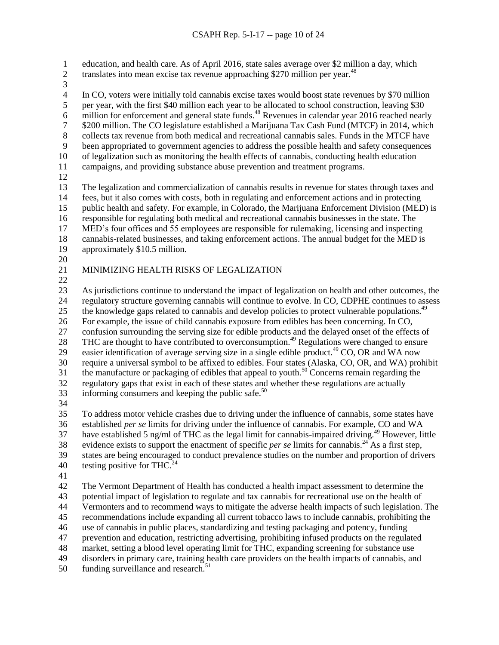education, and health care. As of April 2016, state sales average over \$2 million a day, which

- 2 translates into mean excise tax revenue approaching \$270 million per year.<sup>48</sup>
- 

 In CO, voters were initially told cannabis excise taxes would boost state revenues by \$70 million 5 per year, with the first \$40 million each year to be allocated to school construction, leaving \$30 6 million for enforcement and general state funds.<sup>48</sup> Revenues in calendar year 2016 reached nearly \$200 million. The CO legislature established a Marijuana Tax Cash Fund (MTCF) in 2014, which collects tax revenue from both medical and recreational cannabis sales. Funds in the MTCF have been appropriated to government agencies to address the possible health and safety consequences of legalization such as monitoring the health effects of cannabis, conducting health education campaigns, and providing substance abuse prevention and treatment programs. The legalization and commercialization of cannabis results in revenue for states through taxes and fees, but it also comes with costs, both in regulating and enforcement actions and in protecting public health and safety. For example, in Colorado, the Marijuana Enforcement Division (MED) is responsible for regulating both medical and recreational cannabis businesses in the state. The MED's four offices and 55 employees are responsible for rulemaking, licensing and inspecting cannabis-related businesses, and taking enforcement actions. The annual budget for the MED is approximately \$10.5 million.

# MINIMIZING HEALTH RISKS OF LEGALIZATION

 As jurisdictions continue to understand the impact of legalization on health and other outcomes, the regulatory structure governing cannabis will continue to evolve. In CO, CDPHE continues to assess 25 the knowledge gaps related to cannabis and develop policies to protect vulnerable populations.<sup>49</sup> For example, the issue of child cannabis exposure from edibles has been concerning. In CO, confusion surrounding the serving size for edible products and the delayed onset of the effects of 28 THC are thought to have contributed to overconsumption.<sup>49</sup> Regulations were changed to ensure 29 easier identification of average serving size in a single edible product.<sup>49</sup> CO, OR and WA now require a universal symbol to be affixed to edibles. Four states (Alaska, CO, OR, and WA) prohibit the manufacture or packaging of edibles that appeal to youth.<sup>50</sup> Concerns remain regarding the regulatory gaps that exist in each of these states and whether these regulations are actually 33 informing consumers and keeping the public safe.

 To address motor vehicle crashes due to driving under the influence of cannabis, some states have established *per se* limits for driving under the influence of cannabis. For example, CO and WA 37 have established 5 ng/ml of THC as the legal limit for cannabis-impaired driving.<sup>49</sup> However, little 38 evidence exists to support the enactment of specific *per se* limits for cannabis.<sup>24</sup> As a first step, states are being encouraged to conduct prevalence studies on the number and proportion of drivers 40 testing positive for THC.<sup>24</sup>

 The Vermont Department of Health has conducted a health impact assessment to determine the potential impact of legislation to regulate and tax cannabis for recreational use on the health of Vermonters and to recommend ways to mitigate the adverse health impacts of such legislation. The recommendations include expanding all current tobacco laws to include cannabis, prohibiting the use of cannabis in public places, standardizing and testing packaging and potency, funding prevention and education, restricting advertising, prohibiting infused products on the regulated market, setting a blood level operating limit for THC, expanding screening for substance use disorders in primary care, training health care providers on the health impacts of cannabis, and funding surveillance and research.<sup>51</sup>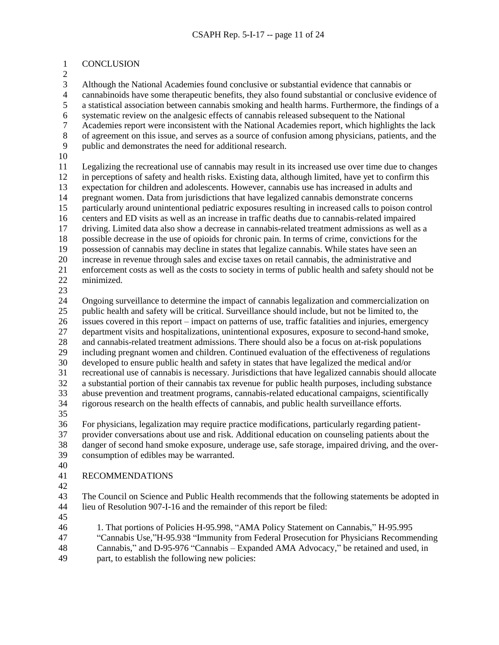#### CONCLUSION

 Although the National Academies found conclusive or substantial evidence that cannabis or cannabinoids have some therapeutic benefits, they also found substantial or conclusive evidence of a statistical association between cannabis smoking and health harms. Furthermore, the findings of a systematic review on the analgesic effects of cannabis released subsequent to the National 7 Academies report were inconsistent with the National Academies report, which highlights the lack<br>8 of agreement on this issue, and serves as a source of confusion among physicians, patients, and the of agreement on this issue, and serves as a source of confusion among physicians, patients, and the public and demonstrates the need for additional research.

 Legalizing the recreational use of cannabis may result in its increased use over time due to changes in perceptions of safety and health risks. Existing data, although limited, have yet to confirm this expectation for children and adolescents. However, cannabis use has increased in adults and pregnant women. Data from jurisdictions that have legalized cannabis demonstrate concerns particularly around unintentional pediatric exposures resulting in increased calls to poison control centers and ED visits as well as an increase in traffic deaths due to cannabis-related impaired driving. Limited data also show a decrease in cannabis-related treatment admissions as well as a possible decrease in the use of opioids for chronic pain. In terms of crime, convictions for the possession of cannabis may decline in states that legalize cannabis. While states have seen an increase in revenue through sales and excise taxes on retail cannabis, the administrative and enforcement costs as well as the costs to society in terms of public health and safety should not be minimized.

 Ongoing surveillance to determine the impact of cannabis legalization and commercialization on public health and safety will be critical. Surveillance should include, but not be limited to, the issues covered in this report – impact on patterns of use, traffic fatalities and injuries, emergency department visits and hospitalizations, unintentional exposures, exposure to second-hand smoke, and cannabis-related treatment admissions. There should also be a focus on at-risk populations including pregnant women and children. Continued evaluation of the effectiveness of regulations developed to ensure public health and safety in states that have legalized the medical and/or recreational use of cannabis is necessary. Jurisdictions that have legalized cannabis should allocate a substantial portion of their cannabis tax revenue for public health purposes, including substance abuse prevention and treatment programs, cannabis-related educational campaigns, scientifically rigorous research on the health effects of cannabis, and public health surveillance efforts. For physicians, legalization may require practice modifications, particularly regarding patient-

 provider conversations about use and risk. Additional education on counseling patients about the danger of second hand smoke exposure, underage use, safe storage, impaired driving, and the over-consumption of edibles may be warranted.

- 
- RECOMMENDATIONS
- 

 The Council on Science and Public Health recommends that the following statements be adopted in lieu of Resolution 907-I-16 and the remainder of this report be filed:

- 
- 1. That portions of Policies H-95.998, "AMA Policy Statement on Cannabis," H-95.995 "Cannabis Use,"H-95.938 "Immunity from Federal Prosecution for Physicians Recommending
- Cannabis," and D-95-976 "Cannabis Expanded AMA Advocacy," be retained and used, in
- part, to establish the following new policies: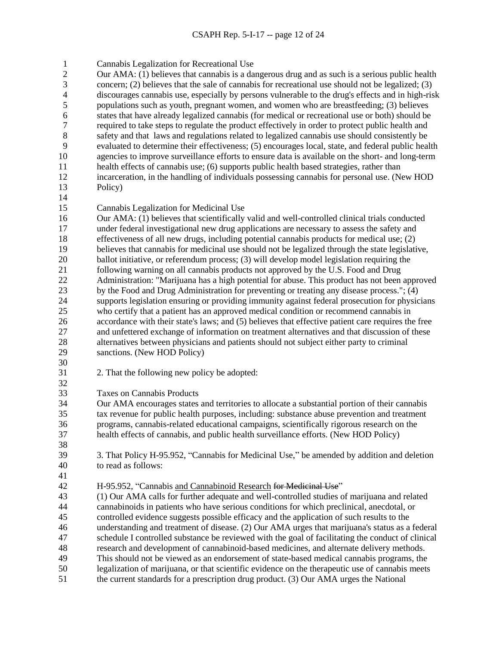Cannabis Legalization for Recreational Use

 Our AMA: (1) believes that cannabis is a dangerous drug and as such is a serious public health concern; (2) believes that the sale of cannabis for recreational use should not be legalized; (3) discourages cannabis use, especially by persons vulnerable to the drug's effects and in high-risk populations such as youth, pregnant women, and women who are breastfeeding; (3) believes states that have already legalized cannabis (for medical or recreational use or both) should be 7 required to take steps to regulate the product effectively in order to protect public health and<br>8 safety and that laws and regulations related to legalized cannabis use should consistently be 8 safety and that laws and regulations related to legalized cannabis use should consistently be<br>9 evaluated to determine their effectiveness: (5) encourages local, state, and federal public heal evaluated to determine their effectiveness; (5) encourages local, state, and federal public health agencies to improve surveillance efforts to ensure data is available on the short- and long-term health effects of cannabis use; (6) supports public health based strategies, rather than incarceration, in the handling of individuals possessing cannabis for personal use. (New HOD Policy)

- 
- Cannabis Legalization for Medicinal Use

 Our AMA: (1) believes that scientifically valid and well-controlled clinical trials conducted under federal investigational new drug applications are necessary to assess the safety and effectiveness of all new drugs, including potential cannabis products for medical use; (2) believes that cannabis for medicinal use should not be legalized through the state legislative, ballot initiative, or referendum process; (3) will develop model legislation requiring the following warning on all cannabis products not approved by the U.S. Food and Drug Administration: "Marijuana has a high potential for abuse. This product has not been approved by the Food and Drug Administration for preventing or treating any disease process."; (4) supports legislation ensuring or providing immunity against federal prosecution for physicians who certify that a patient has an approved medical condition or recommend cannabis in accordance with their state's laws; and (5) believes that effective patient care requires the free and unfettered exchange of information on treatment alternatives and that discussion of these alternatives between physicians and patients should not subject either party to criminal sanctions. (New HOD Policy)

- 2. That the following new policy be adopted:
- Taxes on Cannabis Products

 Our AMA encourages states and territories to allocate a substantial portion of their cannabis tax revenue for public health purposes, including: substance abuse prevention and treatment programs, cannabis-related educational campaigns, scientifically rigorous research on the health effects of cannabis, and public health surveillance efforts. (New HOD Policy)

 3. That Policy H-95.952, "Cannabis for Medicinal Use," be amended by addition and deletion to read as follows:

H-95.952, "Cannabis and Cannabinoid Research for Medicinal Use"

 (1) Our AMA calls for further adequate and well-controlled studies of marijuana and related cannabinoids in patients who have serious conditions for which preclinical, anecdotal, or controlled evidence suggests possible efficacy and the application of such results to the understanding and treatment of disease. (2) Our AMA urges that marijuana's status as a federal schedule I controlled substance be reviewed with the goal of facilitating the conduct of clinical research and development of cannabinoid-based medicines, and alternate delivery methods. This should not be viewed as an endorsement of state-based medical cannabis programs, the legalization of marijuana, or that scientific evidence on the therapeutic use of cannabis meets the current standards for a prescription drug product. (3) Our AMA urges the National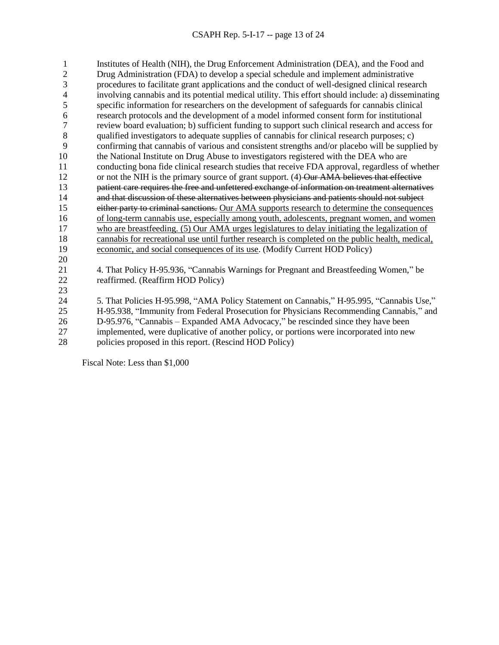Institutes of Health (NIH), the Drug Enforcement Administration (DEA), and the Food and Drug Administration (FDA) to develop a special schedule and implement administrative procedures to facilitate grant applications and the conduct of well-designed clinical research involving cannabis and its potential medical utility. This effort should include: a) disseminating specific information for researchers on the development of safeguards for cannabis clinical research protocols and the development of a model informed consent form for institutional 7 review board evaluation; b) sufficient funding to support such clinical research and access for qualified investigators to adequate supplies of cannabis for clinical research purposes: c) qualified investigators to adequate supplies of cannabis for clinical research purposes;  $c$ ) confirming that cannabis of various and consistent strengths and/or placebo will be supplied by the National Institute on Drug Abuse to investigators registered with the DEA who are conducting bona fide clinical research studies that receive FDA approval, regardless of whether 12 or not the NIH is the primary source of grant support. (4)-Our AMA believes that effective patient care requires the free and unfettered exchange of information on treatment alternatives and that discussion of these alternatives between physicians and patients should not subject 15 either party to criminal sanctions. Our AMA supports research to determine the consequences of long-term cannabis use, especially among youth, adolescents, pregnant women, and women who are breastfeeding. (5) Our AMA urges legislatures to delay initiating the legalization of cannabis for recreational use until further research is completed on the public health, medical, economic, and social consequences of its use. (Modify Current HOD Policy) 4. That Policy H-95.936, "Cannabis Warnings for Pregnant and Breastfeeding Women," be

reaffirmed. (Reaffirm HOD Policy)

 5. That Policies H-95.998, "AMA Policy Statement on Cannabis," H-95.995, "Cannabis Use," H-95.938, "Immunity from Federal Prosecution for Physicians Recommending Cannabis," and D-95.976, "Cannabis – Expanded AMA Advocacy," be rescinded since they have been implemented, were duplicative of another policy, or portions were incorporated into new

28 policies proposed in this report. (Rescind HOD Policy)

Fiscal Note: Less than \$1,000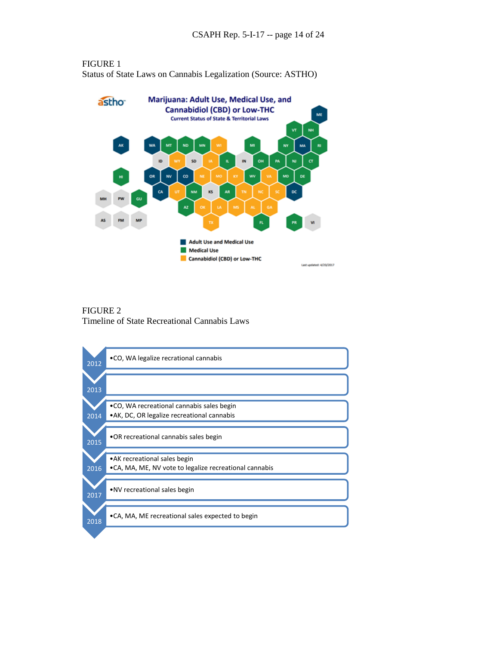

FIGURE 1 Status of State Laws on Cannabis Legalization (Source: ASTHO)

FIGURE 2 Timeline of State Recreational Cannabis Laws

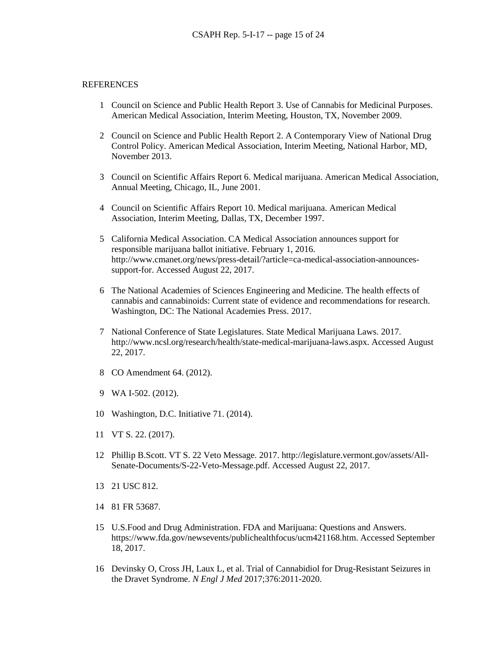#### REFERENCES

- 1 Council on Science and Public Health Report 3. Use of Cannabis for Medicinal Purposes. American Medical Association, Interim Meeting, Houston, TX, November 2009.
- 2 Council on Science and Public Health Report 2. A Contemporary View of National Drug Control Policy. American Medical Association, Interim Meeting, National Harbor, MD, November 2013.
- 3 Council on Scientific Affairs Report 6. Medical marijuana. American Medical Association, Annual Meeting, Chicago, IL, June 2001.
- 4 Council on Scientific Affairs Report 10. Medical marijuana. American Medical Association, Interim Meeting, Dallas, TX, December 1997.
- 5 California Medical Association. CA Medical Association announces support for responsible marijuana ballot initiative. February 1, 2016. http://www.cmanet.org/news/press-detail/?article=ca-medical-association-announcessupport-for. Accessed August 22, 2017.
- 6 The National Academies of Sciences Engineering and Medicine. The health effects of cannabis and cannabinoids: Current state of evidence and recommendations for research. Washington, DC: The National Academies Press. 2017.
- 7 National Conference of State Legislatures. State Medical Marijuana Laws. 2017. http://www.ncsl.org/research/health/state-medical-marijuana-laws.aspx. Accessed August 22, 2017.
- 8 CO Amendment 64. (2012).
- 9 WA I-502. (2012).
- 10 Washington, D.C. Initiative 71. (2014).
- 11 VT S. 22. (2017).
- 12 Phillip B.Scott. VT S. 22 Veto Message. 2017. http://legislature.vermont.gov/assets/All-Senate-Documents/S-22-Veto-Message.pdf. Accessed August 22, 2017.
- 13 21 USC 812.
- 14 81 FR 53687.
- 15 U.S.Food and Drug Administration. FDA and Marijuana: Questions and Answers. https://www.fda.gov/newsevents/publichealthfocus/ucm421168.htm. Accessed September 18, 2017.
- 16 Devinsky O, Cross JH, Laux L, et al. Trial of Cannabidiol for Drug-Resistant Seizures in the Dravet Syndrome. *N Engl J Med* 2017;376:2011-2020.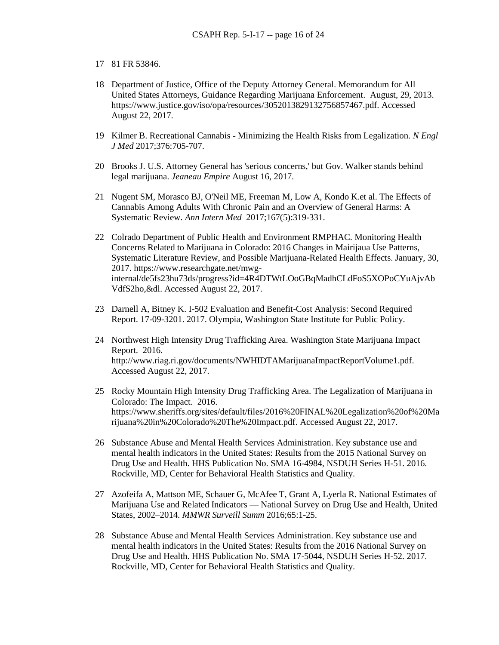- 17 81 FR 53846.
- 18 Department of Justice, Office of the Deputy Attorney General. Memorandum for All United States Attorneys, Guidance Regarding Marijuana Enforcement. August, 29, 2013. https://www.justice.gov/iso/opa/resources/3052013829132756857467.pdf. Accessed August 22, 2017.
- 19 Kilmer B. Recreational Cannabis Minimizing the Health Risks from Legalization. *N Engl J Med* 2017;376:705-707.
- 20 Brooks J. U.S. Attorney General has 'serious concerns,' but Gov. Walker stands behind legal marijuana. *Jeaneau Empire* August 16, 2017.
- 21 Nugent SM, Morasco BJ, O'Neil ME, Freeman M, Low A, Kondo K.et al. The Effects of Cannabis Among Adults With Chronic Pain and an Overview of General Harms: A Systematic Review. *Ann Intern Med* 2017;167(5):319-331.
- 22 Colrado Department of Public Health and Environment RMPHAC. Monitoring Health Concerns Related to Marijuana in Colorado: 2016 Changes in Mairijaua Use Patterns, Systematic Literature Review, and Possible Marijuana-Related Health Effects. January, 30, 2017. https://www.researchgate.net/mwginternal/de5fs23hu73ds/progress?id=4R4DTWtLOoGBqMadhCLdFoS5XOPoCYuAjvAb VdfS2ho,&dl. Accessed August 22, 2017.
- 23 Darnell A, Bitney K. I-502 Evaluation and Benefit-Cost Analysis: Second Required Report. 17-09-3201. 2017. Olympia, Washington State Institute for Public Policy.
- 24 Northwest High Intensity Drug Trafficking Area. Washington State Marijuana Impact Report. 2016. http://www.riag.ri.gov/documents/NWHIDTAMarijuanaImpactReportVolume1.pdf. Accessed August 22, 2017.
- 25 Rocky Mountain High Intensity Drug Trafficking Area. The Legalization of Marijuana in Colorado: The Impact. 2016. https://www.sheriffs.org/sites/default/files/2016%20FINAL%20Legalization%20of%20Ma rijuana%20in%20Colorado%20The%20Impact.pdf. Accessed August 22, 2017.
- 26 Substance Abuse and Mental Health Services Administration. Key substance use and mental health indicators in the United States: Results from the 2015 National Survey on Drug Use and Health. HHS Publication No. SMA 16-4984, NSDUH Series H-51. 2016. Rockville, MD, Center for Behavioral Health Statistics and Quality.
- 27 Azofeifa A, Mattson ME, Schauer G, McAfee T, Grant A, Lyerla R. National Estimates of Marijuana Use and Related Indicators — National Survey on Drug Use and Health, United States, 2002–2014. *MMWR Surveill Summ* 2016;65:1-25.
- 28 Substance Abuse and Mental Health Services Administration. Key substance use and mental health indicators in the United States: Results from the 2016 National Survey on Drug Use and Health. HHS Publication No. SMA 17-5044, NSDUH Series H-52. 2017. Rockville, MD, Center for Behavioral Health Statistics and Quality.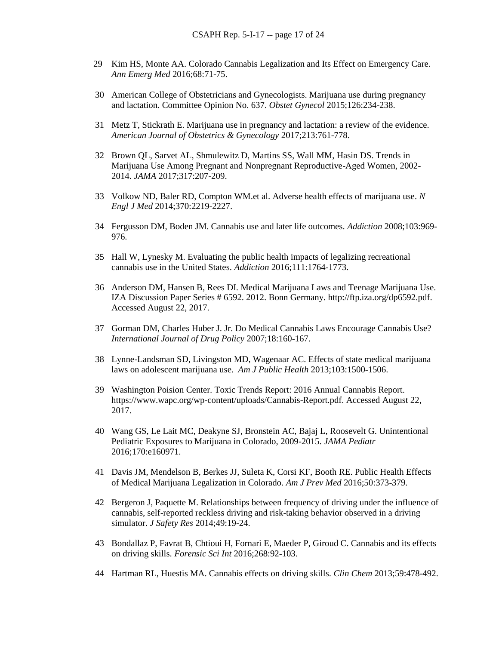- 29 Kim HS, Monte AA. Colorado Cannabis Legalization and Its Effect on Emergency Care. *Ann Emerg Med* 2016;68:71-75.
- 30 American College of Obstetricians and Gynecologists. Marijuana use during pregnancy and lactation. Committee Opinion No. 637. *Obstet Gynecol* 2015;126:234-238.
- 31 Metz T, Stickrath E. Marijuana use in pregnancy and lactation: a review of the evidence. *American Journal of Obstetrics & Gynecology* 2017;213:761-778.
- 32 Brown QL, Sarvet AL, Shmulewitz D, Martins SS, Wall MM, Hasin DS. Trends in Marijuana Use Among Pregnant and Nonpregnant Reproductive-Aged Women, 2002- 2014. *JAMA* 2017;317:207-209.
- 33 Volkow ND, Baler RD, Compton WM.et al. Adverse health effects of marijuana use. *N Engl J Med* 2014;370:2219-2227.
- 34 Fergusson DM, Boden JM. Cannabis use and later life outcomes. *Addiction* 2008;103:969- 976.
- 35 Hall W, Lynesky M. Evaluating the public health impacts of legalizing recreational cannabis use in the United States. *Addiction* 2016;111:1764-1773.
- 36 Anderson DM, Hansen B, Rees DI. Medical Marijuana Laws and Teenage Marijuana Use. IZA Discussion Paper Series # 6592. 2012. Bonn Germany. http://ftp.iza.org/dp6592.pdf. Accessed August 22, 2017.
- 37 Gorman DM, Charles Huber J. Jr. Do Medical Cannabis Laws Encourage Cannabis Use? *International Journal of Drug Policy* 2007;18:160-167.
- 38 Lynne-Landsman SD, Livingston MD, Wagenaar AC. Effects of state medical marijuana laws on adolescent marijuana use. *Am J Public Health* 2013;103:1500-1506.
- 39 Washington Poision Center. Toxic Trends Report: 2016 Annual Cannabis Report. https://www.wapc.org/wp-content/uploads/Cannabis-Report.pdf. Accessed August 22, 2017.
- 40 Wang GS, Le Lait MC, Deakyne SJ, Bronstein AC, Bajaj L, Roosevelt G. Unintentional Pediatric Exposures to Marijuana in Colorado, 2009-2015. *JAMA Pediatr* 2016;170:e160971.
- 41 Davis JM, Mendelson B, Berkes JJ, Suleta K, Corsi KF, Booth RE. Public Health Effects of Medical Marijuana Legalization in Colorado. *Am J Prev Med* 2016;50:373-379.
- 42 Bergeron J, Paquette M. Relationships between frequency of driving under the influence of cannabis, self-reported reckless driving and risk-taking behavior observed in a driving simulator. *J Safety Res* 2014;49:19-24.
- 43 Bondallaz P, Favrat B, Chtioui H, Fornari E, Maeder P, Giroud C. Cannabis and its effects on driving skills. *Forensic Sci Int* 2016;268:92-103.
- 44 Hartman RL, Huestis MA. Cannabis effects on driving skills. *Clin Chem* 2013;59:478-492.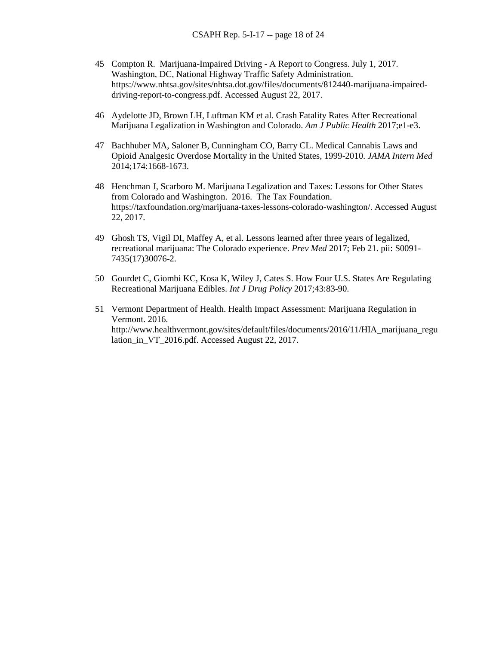- 45 Compton R. Marijuana-Impaired Driving A Report to Congress. July 1, 2017. Washington, DC, National Highway Traffic Safety Administration. https://www.nhtsa.gov/sites/nhtsa.dot.gov/files/documents/812440-marijuana-impaireddriving-report-to-congress.pdf. Accessed August 22, 2017.
- 46 Aydelotte JD, Brown LH, Luftman KM et al. Crash Fatality Rates After Recreational Marijuana Legalization in Washington and Colorado. *Am J Public Health* 2017;e1-e3.
- 47 Bachhuber MA, Saloner B, Cunningham CO, Barry CL. Medical Cannabis Laws and Opioid Analgesic Overdose Mortality in the United States, 1999-2010. *JAMA Intern Med* 2014;174:1668-1673.
- 48 Henchman J, Scarboro M. Marijuana Legalization and Taxes: Lessons for Other States from Colorado and Washington. 2016. The Tax Foundation. https://taxfoundation.org/marijuana-taxes-lessons-colorado-washington/. Accessed August 22, 2017.
- 49 Ghosh TS, Vigil DI, Maffey A, et al. Lessons learned after three years of legalized, recreational marijuana: The Colorado experience. *Prev Med* 2017; Feb 21. pii: S0091- 7435(17)30076-2.
- 50 Gourdet C, Giombi KC, Kosa K, Wiley J, Cates S. How Four U.S. States Are Regulating Recreational Marijuana Edibles. *Int J Drug Policy* 2017;43:83-90.
- 51 Vermont Department of Health. Health Impact Assessment: Marijuana Regulation in Vermont. 2016. http://www.healthvermont.gov/sites/default/files/documents/2016/11/HIA\_marijuana\_regu lation in VT 2016.pdf. Accessed August 22, 2017.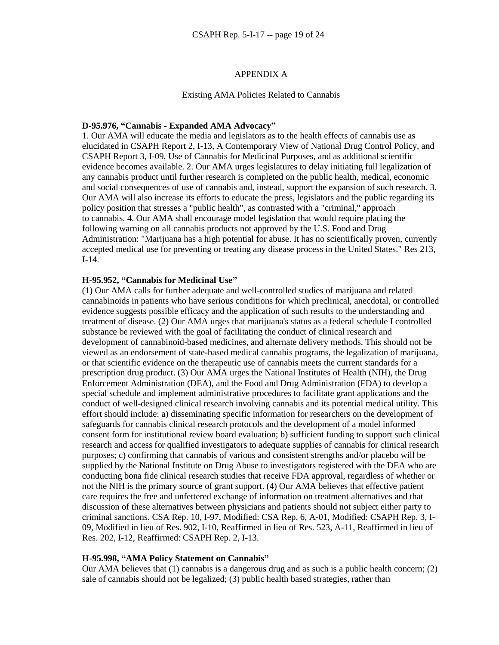#### APPENDIX A

#### Existing AMA Policies Related to Cannabis

#### **D-95.976, "Cannabis - Expanded AMA Advocacy"**

1. Our AMA will educate the media and legislators as to the health effects of cannabis use as elucidated in CSAPH Report 2, I-13, A Contemporary View of National Drug Control Policy, and CSAPH Report 3, I-09, Use of Cannabis for Medicinal Purposes, and as additional scientific evidence becomes available. 2. Our AMA urges legislatures to delay initiating full legalization of any cannabis product until further research is completed on the public health, medical, economic and social consequences of use of cannabis and, instead, support the expansion of such research. 3. Our AMA will also increase its efforts to educate the press, legislators and the public regarding its policy position that stresses a "public health", as contrasted with a "criminal," approach to cannabis. 4. Our AMA shall encourage model legislation that would require placing the following warning on all cannabis products not approved by the U.S. Food and Drug Administration: "Marijuana has a high potential for abuse. It has no scientifically proven, currently accepted medical use for preventing or treating any disease process in the United States." Res 213, I-14.

#### **H-95.952, "Cannabis for Medicinal Use"**

(1) Our AMA calls for further adequate and well-controlled studies of marijuana and related cannabinoids in patients who have serious conditions for which preclinical, anecdotal, or controlled evidence suggests possible efficacy and the application of such results to the understanding and treatment of disease. (2) Our AMA urges that marijuana's status as a federal schedule I controlled substance be reviewed with the goal of facilitating the conduct of clinical research and development of cannabinoid-based medicines, and alternate delivery methods. This should not be viewed as an endorsement of state-based medical cannabis programs, the legalization of marijuana, or that scientific evidence on the therapeutic use of cannabis meets the current standards for a prescription drug product. (3) Our AMA urges the National Institutes of Health (NIH), the Drug Enforcement Administration (DEA), and the Food and Drug Administration (FDA) to develop a special schedule and implement administrative procedures to facilitate grant applications and the conduct of well-designed clinical research involving cannabis and its potential medical utility. This effort should include: a) disseminating specific information for researchers on the development of safeguards for cannabis clinical research protocols and the development of a model informed consent form for institutional review board evaluation; b) sufficient funding to support such clinical research and access for qualified investigators to adequate supplies of cannabis for clinical research purposes; c) confirming that cannabis of various and consistent strengths and/or placebo will be supplied by the National Institute on Drug Abuse to investigators registered with the DEA who are conducting bona fide clinical research studies that receive FDA approval, regardless of whether or not the NIH is the primary source of grant support. (4) Our AMA believes that effective patient care requires the free and unfettered exchange of information on treatment alternatives and that discussion of these alternatives between physicians and patients should not subject either party to criminal sanctions. CSA Rep. 10, I-97, Modified: CSA Rep. 6, A-01, Modified: CSAPH Rep. 3, I-09, Modified in lieu of Res. 902, I-10, Reaffirmed in lieu of Res. 523, A-11, Reaffirmed in lieu of Res. 202, I-12, Reaffirmed: CSAPH Rep. 2, I-13.

#### **H-95.998, "AMA Policy Statement on Cannabis"**

Our AMA believes that (1) cannabis is a dangerous drug and as such is a public health concern; (2) sale of cannabis should not be legalized; (3) public health based strategies, rather than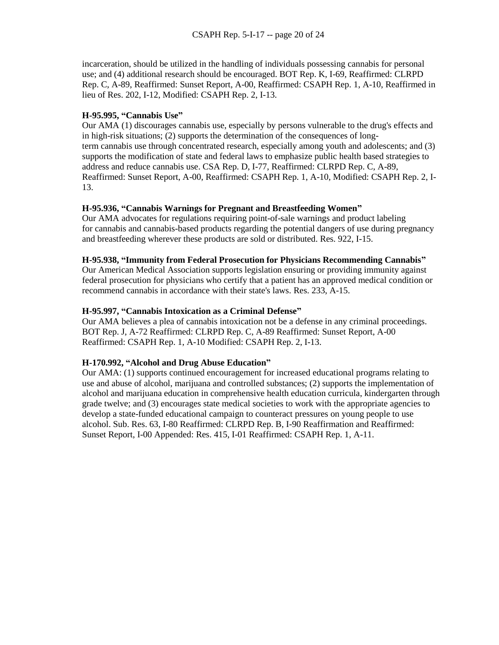incarceration, should be utilized in the handling of individuals possessing cannabis for personal use; and (4) additional research should be encouraged. BOT Rep. K, I-69, Reaffirmed: CLRPD Rep. C, A-89, Reaffirmed: Sunset Report, A-00, Reaffirmed: CSAPH Rep. 1, A-10, Reaffirmed in lieu of Res. 202, I-12, Modified: CSAPH Rep. 2, I-13.

## **H-95.995, "Cannabis Use"**

Our AMA (1) discourages cannabis use, especially by persons vulnerable to the drug's effects and in high-risk situations; (2) supports the determination of the consequences of longterm cannabis use through concentrated research, especially among youth and adolescents; and (3) supports the modification of state and federal laws to emphasize public health based strategies to address and reduce cannabis use. CSA Rep. D, I-77, Reaffirmed: CLRPD Rep. C, A-89, Reaffirmed: Sunset Report, A-00, Reaffirmed: CSAPH Rep. 1, A-10, Modified: CSAPH Rep. 2, I-13.

## **H-95.936, "Cannabis Warnings for Pregnant and Breastfeeding Women"**

Our AMA advocates for regulations requiring point-of-sale warnings and product labeling for cannabis and cannabis-based products regarding the potential dangers of use during pregnancy and breastfeeding wherever these products are sold or distributed. Res. 922, I-15.

## **H-95.938, "Immunity from Federal Prosecution for Physicians Recommending Cannabis"**

Our American Medical Association supports legislation ensuring or providing immunity against federal prosecution for physicians who certify that a patient has an approved medical condition or recommend cannabis in accordance with their state's laws. Res. 233, A-15.

## **H-95.997, "Cannabis Intoxication as a Criminal Defense"**

Our AMA believes a plea of cannabis intoxication not be a defense in any criminal proceedings. BOT Rep. J, A-72 Reaffirmed: CLRPD Rep. C, A-89 Reaffirmed: Sunset Report, A-00 Reaffirmed: CSAPH Rep. 1, A-10 Modified: CSAPH Rep. 2, I-13.

## **H-170.992, "Alcohol and Drug Abuse Education"**

Our AMA: (1) supports continued encouragement for increased educational programs relating to use and abuse of alcohol, marijuana and controlled substances; (2) supports the implementation of alcohol and marijuana education in comprehensive health education curricula, kindergarten through grade twelve; and (3) encourages state medical societies to work with the appropriate agencies to develop a state-funded educational campaign to counteract pressures on young people to use alcohol. Sub. Res. 63, I-80 Reaffirmed: CLRPD Rep. B, I-90 Reaffirmation and Reaffirmed: Sunset Report, I-00 Appended: Res. 415, I-01 Reaffirmed: CSAPH Rep. 1, A-11.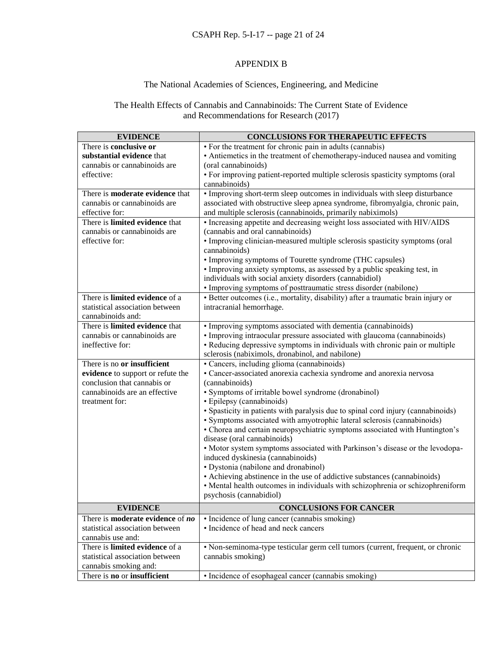# CSAPH Rep. 5-I-17 -- page 21 of 24

## APPENDIX B

## The National Academies of Sciences, Engineering, and Medicine

# The Health Effects of Cannabis and Cannabinoids: The Current State of Evidence and Recommendations for Research (2017)

| <b>EVIDENCE</b>                                | <b>CONCLUSIONS FOR THERAPEUTIC EFFECTS</b>                                        |
|------------------------------------------------|-----------------------------------------------------------------------------------|
| There is conclusive or                         | • For the treatment for chronic pain in adults (cannabis)                         |
| substantial evidence that                      | • Antiemetics in the treatment of chemotherapy-induced nausea and vomiting        |
| cannabis or cannabinoids are                   | (oral cannabinoids)                                                               |
| effective:                                     | • For improving patient-reported multiple sclerosis spasticity symptoms (oral     |
|                                                | cannabinoids)                                                                     |
| There is <b>moderate evidence</b> that         | • Improving short-term sleep outcomes in individuals with sleep disturbance       |
| cannabis or cannabinoids are                   | associated with obstructive sleep apnea syndrome, fibromyalgia, chronic pain,     |
| effective for:                                 | and multiple sclerosis (cannabinoids, primarily nabiximols)                       |
| There is limited evidence that                 | • Increasing appetite and decreasing weight loss associated with HIV/AIDS         |
| cannabis or cannabinoids are                   | (cannabis and oral cannabinoids)                                                  |
| effective for:                                 | • Improving clinician-measured multiple sclerosis spasticity symptoms (oral       |
|                                                | cannabinoids)                                                                     |
|                                                | • Improving symptoms of Tourette syndrome (THC capsules)                          |
|                                                | • Improving anxiety symptoms, as assessed by a public speaking test, in           |
|                                                | individuals with social anxiety disorders (cannabidiol)                           |
|                                                | • Improving symptoms of posttraumatic stress disorder (nabilone)                  |
| There is limited evidence of a                 | · Better outcomes (i.e., mortality, disability) after a traumatic brain injury or |
| statistical association between                | intracranial hemorrhage.                                                          |
| cannabinoids and:                              |                                                                                   |
| There is limited evidence that                 | • Improving symptoms associated with dementia (cannabinoids)                      |
| cannabis or cannabinoids are                   | • Improving intraocular pressure associated with glaucoma (cannabinoids)          |
| ineffective for:                               | • Reducing depressive symptoms in individuals with chronic pain or multiple       |
|                                                | sclerosis (nabiximols, dronabinol, and nabilone)                                  |
| There is no or insufficient                    | • Cancers, including glioma (cannabinoids)                                        |
| evidence to support or refute the              | • Cancer-associated anorexia cachexia syndrome and anorexia nervosa               |
| conclusion that cannabis or                    | (cannabinoids)                                                                    |
| cannabinoids are an effective                  | · Symptoms of irritable bowel syndrome (dronabinol)                               |
| treatment for:                                 | · Epilepsy (cannabinoids)                                                         |
|                                                | • Spasticity in patients with paralysis due to spinal cord injury (cannabinoids)  |
|                                                | · Symptoms associated with amyotrophic lateral sclerosis (cannabinoids)           |
|                                                | • Chorea and certain neuropsychiatric symptoms associated with Huntington's       |
|                                                | disease (oral cannabinoids)                                                       |
|                                                | · Motor system symptoms associated with Parkinson's disease or the levodopa-      |
|                                                | induced dyskinesia (cannabinoids)                                                 |
|                                                | • Dystonia (nabilone and dronabinol)                                              |
|                                                | • Achieving abstinence in the use of addictive substances (cannabinoids)          |
|                                                | • Mental health outcomes in individuals with schizophrenia or schizophreniform    |
|                                                | psychosis (cannabidiol)                                                           |
| <b>EVIDENCE</b>                                | <b>CONCLUSIONS FOR CANCER</b>                                                     |
| There is <b>moderate evidence</b> of <b>no</b> | • Incidence of lung cancer (cannabis smoking)                                     |
| statistical association between                | • Incidence of head and neck cancers                                              |
| cannabis use and:                              |                                                                                   |
| There is limited evidence of a                 | • Non-seminoma-type testicular germ cell tumors (current, frequent, or chronic    |
| statistical association between                | cannabis smoking)                                                                 |
| cannabis smoking and:                          |                                                                                   |
| There is no or insufficient                    | · Incidence of esophageal cancer (cannabis smoking)                               |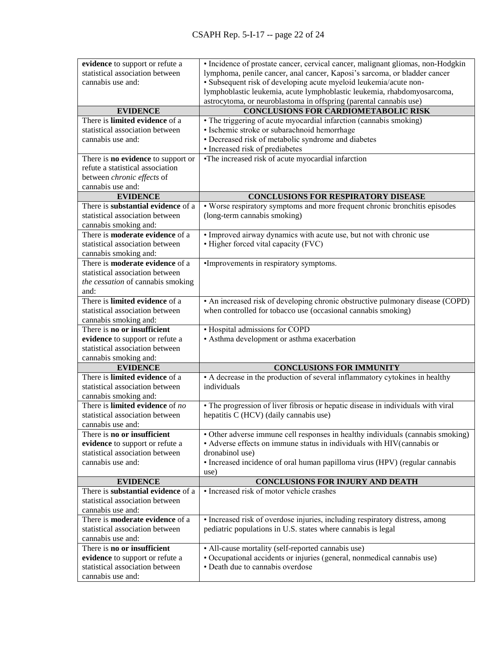| evidence to support or refute a                                 | · Incidence of prostate cancer, cervical cancer, malignant gliomas, non-Hodgkin  |
|-----------------------------------------------------------------|----------------------------------------------------------------------------------|
| statistical association between                                 | lymphoma, penile cancer, anal cancer, Kaposi's sarcoma, or bladder cancer        |
| cannabis use and:                                               | · Subsequent risk of developing acute myeloid leukemia/acute non-                |
|                                                                 | lymphoblastic leukemia, acute lymphoblastic leukemia, rhabdomyosarcoma,          |
|                                                                 | astrocytoma, or neuroblastoma in offspring (parental cannabis use)               |
| <b>EVIDENCE</b>                                                 | <b>CONCLUSIONS FOR CARDIOMETABOLIC RISK</b>                                      |
| There is limited evidence of a                                  | • The triggering of acute myocardial infarction (cannabis smoking)               |
| statistical association between                                 | • Ischemic stroke or subarachnoid hemorrhage                                     |
| cannabis use and:                                               | • Decreased risk of metabolic syndrome and diabetes                              |
|                                                                 | • Increased risk of prediabetes                                                  |
| There is no evidence to support or                              | •The increased risk of acute myocardial infarction                               |
| refute a statistical association                                |                                                                                  |
| between chronic effects of                                      |                                                                                  |
| cannabis use and:                                               |                                                                                  |
| <b>EVIDENCE</b>                                                 | <b>CONCLUSIONS FOR RESPIRATORY DISEASE</b>                                       |
| There is substantial evidence of a                              | • Worse respiratory symptoms and more frequent chronic bronchitis episodes       |
| statistical association between                                 | (long-term cannabis smoking)                                                     |
|                                                                 |                                                                                  |
| cannabis smoking and:<br>There is <b>moderate evidence</b> of a |                                                                                  |
|                                                                 | • Improved airway dynamics with acute use, but not with chronic use              |
| statistical association between                                 | • Higher forced vital capacity (FVC)                                             |
| cannabis smoking and:                                           |                                                                                  |
| There is <b>moderate evidence</b> of a                          | •Improvements in respiratory symptoms.                                           |
| statistical association between                                 |                                                                                  |
| the cessation of cannabis smoking                               |                                                                                  |
| and:                                                            |                                                                                  |
| There is limited evidence of a                                  | • An increased risk of developing chronic obstructive pulmonary disease (COPD)   |
| statistical association between                                 | when controlled for tobacco use (occasional cannabis smoking)                    |
| cannabis smoking and:                                           |                                                                                  |
| There is no or insufficient                                     | • Hospital admissions for COPD                                                   |
| evidence to support or refute a                                 | • Asthma development or asthma exacerbation                                      |
| statistical association between                                 |                                                                                  |
| cannabis smoking and:                                           |                                                                                  |
| <b>EVIDENCE</b>                                                 | <b>CONCLUSIONS FOR IMMUNITY</b>                                                  |
| There is limited evidence of a                                  | • A decrease in the production of several inflammatory cytokines in healthy      |
| statistical association between                                 | individuals                                                                      |
| cannabis smoking and:                                           |                                                                                  |
| There is <b>limited evidence</b> of no                          | • The progression of liver fibrosis or hepatic disease in individuals with viral |
| statistical association between                                 | hepatitis C (HCV) (daily cannabis use)                                           |
| cannabis use and:                                               |                                                                                  |
| There is no or insufficient                                     | • Other adverse immune cell responses in healthy individuals (cannabis smoking)  |
| evidence to support or refute a                                 | • Adverse effects on immune status in individuals with HIV(cannabis or           |
| statistical association between                                 | dronabinol use)                                                                  |
| cannabis use and:                                               | • Increased incidence of oral human papilloma virus (HPV) (regular cannabis      |
|                                                                 | use)                                                                             |
| <b>EVIDENCE</b>                                                 | <b>CONCLUSIONS FOR INJURY AND DEATH</b>                                          |
| There is substantial evidence of a                              | • Increased risk of motor vehicle crashes                                        |
| statistical association between                                 |                                                                                  |
| cannabis use and:                                               |                                                                                  |
| There is <b>moderate evidence</b> of a                          | • Increased risk of overdose injuries, including respiratory distress, among     |
| statistical association between                                 | pediatric populations in U.S. states where cannabis is legal                     |
| cannabis use and:                                               |                                                                                  |
| There is no or insufficient                                     | • All-cause mortality (self-reported cannabis use)                               |
| evidence to support or refute a                                 | · Occupational accidents or injuries (general, nonmedical cannabis use)          |
| statistical association between                                 | • Death due to cannabis overdose                                                 |
|                                                                 |                                                                                  |
| cannabis use and:                                               |                                                                                  |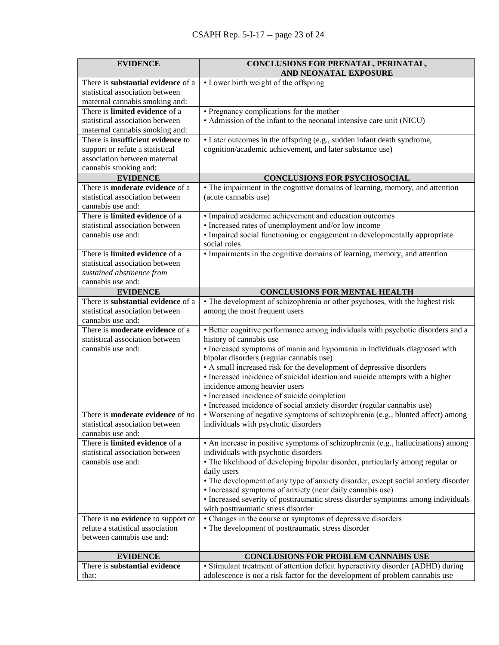| <b>EVIDENCE</b>                                     | CONCLUSIONS FOR PRENATAL, PERINATAL,<br>AND NEONATAL EXPOSURE                                                                                                          |
|-----------------------------------------------------|------------------------------------------------------------------------------------------------------------------------------------------------------------------------|
| There is substantial evidence of a                  | • Lower birth weight of the offspring                                                                                                                                  |
| statistical association between                     |                                                                                                                                                                        |
| maternal cannabis smoking and:                      |                                                                                                                                                                        |
| There is limited evidence of a                      | • Pregnancy complications for the mother                                                                                                                               |
| statistical association between                     | • Admission of the infant to the neonatal intensive care unit (NICU)                                                                                                   |
| maternal cannabis smoking and:                      |                                                                                                                                                                        |
| There is <b>insufficient</b> evidence to            | • Later outcomes in the offspring (e.g., sudden infant death syndrome,                                                                                                 |
| support or refute a statistical                     | cognition/academic achievement, and later substance use)                                                                                                               |
| association between maternal                        |                                                                                                                                                                        |
| cannabis smoking and:                               |                                                                                                                                                                        |
| <b>EVIDENCE</b>                                     | CONCLUSIONS FOR PSYCHOSOCIAL                                                                                                                                           |
| There is <b>moderate evidence</b> of a              | • The impairment in the cognitive domains of learning, memory, and attention                                                                                           |
| statistical association between                     | (acute cannabis use)                                                                                                                                                   |
| cannabis use and:<br>There is limited evidence of a |                                                                                                                                                                        |
| statistical association between                     | • Impaired academic achievement and education outcomes<br>• Increased rates of unemployment and/or low income                                                          |
| cannabis use and:                                   | • Impaired social functioning or engagement in developmentally appropriate                                                                                             |
|                                                     | social roles                                                                                                                                                           |
| There is limited evidence of a                      | • Impairments in the cognitive domains of learning, memory, and attention                                                                                              |
| statistical association between                     |                                                                                                                                                                        |
| sustained abstinence from                           |                                                                                                                                                                        |
| cannabis use and:                                   |                                                                                                                                                                        |
| <b>EVIDENCE</b>                                     | <b>CONCLUSIONS FOR MENTAL HEALTH</b>                                                                                                                                   |
| There is substantial evidence of a                  | • The development of schizophrenia or other psychoses, with the highest risk                                                                                           |
| statistical association between                     | among the most frequent users                                                                                                                                          |
| cannabis use and:                                   |                                                                                                                                                                        |
| There is <b>moderate evidence</b> of a              | • Better cognitive performance among individuals with psychotic disorders and a                                                                                        |
| statistical association between                     | history of cannabis use                                                                                                                                                |
| cannabis use and:                                   | • Increased symptoms of mania and hypomania in individuals diagnosed with                                                                                              |
|                                                     | bipolar disorders (regular cannabis use)                                                                                                                               |
|                                                     | • A small increased risk for the development of depressive disorders                                                                                                   |
|                                                     | · Increased incidence of suicidal ideation and suicide attempts with a higher                                                                                          |
|                                                     | incidence among heavier users                                                                                                                                          |
|                                                     | · Increased incidence of suicide completion<br>· Increased incidence of social anxiety disorder (regular cannabis use)                                                 |
| There is <b>moderate evidence</b> of no             | • Worsening of negative symptoms of schizophrenia (e.g., blunted affect) among                                                                                         |
| statistical association between                     | individuals with psychotic disorders                                                                                                                                   |
| cannabis use and:                                   |                                                                                                                                                                        |
| There is limited evidence of a                      | • An increase in positive symptoms of schizophrenia (e.g., hallucinations) among                                                                                       |
| statistical association between                     | individuals with psychotic disorders                                                                                                                                   |
| cannabis use and:                                   | • The likelihood of developing bipolar disorder, particularly among regular or                                                                                         |
|                                                     | daily users                                                                                                                                                            |
|                                                     | • The development of any type of anxiety disorder, except social anxiety disorder                                                                                      |
|                                                     | • Increased symptoms of anxiety (near daily cannabis use)                                                                                                              |
|                                                     | • Increased severity of posttraumatic stress disorder symptoms among individuals                                                                                       |
|                                                     | with posttraumatic stress disorder                                                                                                                                     |
| There is <b>no evidence</b> to support or           | • Changes in the course or symptoms of depressive disorders                                                                                                            |
| refute a statistical association                    | • The development of posttraumatic stress disorder                                                                                                                     |
| between cannabis use and:                           |                                                                                                                                                                        |
|                                                     |                                                                                                                                                                        |
| <b>EVIDENCE</b><br>There is substantial evidence    | <b>CONCLUSIONS FOR PROBLEM CANNABIS USE</b>                                                                                                                            |
| that:                                               | • Stimulant treatment of attention deficit hyperactivity disorder (ADHD) during<br>adolescence is <i>not</i> a risk factor for the development of problem cannabis use |
|                                                     |                                                                                                                                                                        |